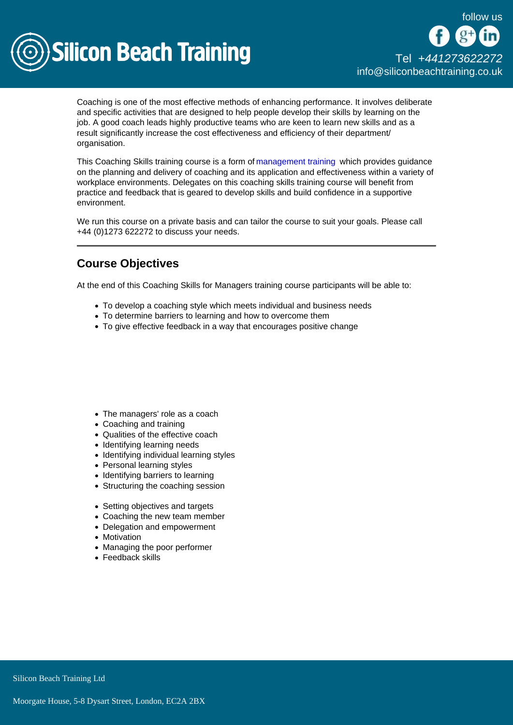

Coaching is one of the most effective methods of enhancing performance. It involves deliberate and specific activities that are designed to help people develop their skills by learning on the job. A good coach leads highly productive teams who are keen to learn new skills and as a result significantly increase the cost effectiveness and efficiency of their department/ organisation.

This Coaching Skills training course is a form of [management training](/management-training) which provides guidance on the planning and delivery of coaching and its application and effectiveness within a variety of workplace environments. Delegates on this coaching skills training course will benefit from practice and feedback that is geared to develop skills and build confidence in a supportive environment.

We run this course on a private basis and can tailor the course to suit your goals. Please call +44 (0)1273 622272 to discuss your needs.

## Course Objectives

At the end of this Coaching Skills for Managers training course participants will be able to:

- To develop a coaching style which meets individual and business needs
- To determine barriers to learning and how to overcome them
- To give effective feedback in a way that encourages positive change

- The managers' role as a coach
- Coaching and training
- Qualities of the effective coach
- Identifying learning needs
- Identifying individual learning styles
- Personal learning styles
- Identifying barriers to learning
- Structuring the coaching session
- Setting objectives and targets
- Coaching the new team member
- Delegation and empowerment
- Motivation
- Managing the poor performer
- Feedback skills